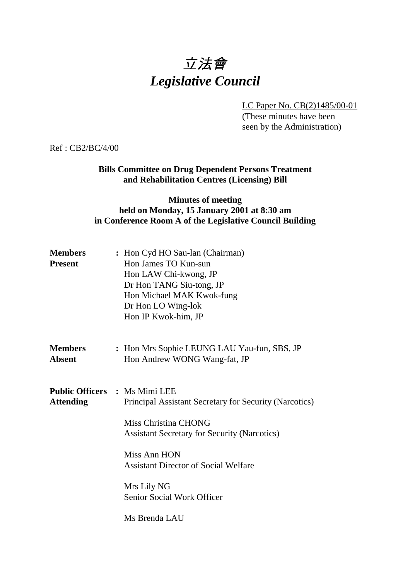# 立法會 *Legislative Council*

LC Paper No. CB(2)1485/00-01

(These minutes have been seen by the Administration)

Ref : CB2/BC/4/00

## **Bills Committee on Drug Dependent Persons Treatment and Rehabilitation Centres (Licensing) Bill**

## **Minutes of meeting held on Monday, 15 January 2001 at 8:30 am in Conference Room A of the Legislative Council Building**

| <b>Members</b><br><b>Present</b> | : Hon Cyd HO Sau-lan (Chairman)<br>Hon James TO Kun-sun<br>Hon LAW Chi-kwong, JP<br>Dr Hon TANG Siu-tong, JP<br>Hon Michael MAK Kwok-fung<br>Dr Hon LO Wing-lok<br>Hon IP Kwok-him, JP                                                                                                                     |
|----------------------------------|------------------------------------------------------------------------------------------------------------------------------------------------------------------------------------------------------------------------------------------------------------------------------------------------------------|
| <b>Members</b><br><b>Absent</b>  | : Hon Mrs Sophie LEUNG LAU Yau-fun, SBS, JP<br>Hon Andrew WONG Wang-fat, JP                                                                                                                                                                                                                                |
| <b>Attending</b>                 | <b>Public Officers : Ms Mimi LEE</b><br>Principal Assistant Secretary for Security (Narcotics)<br>Miss Christina CHONG<br><b>Assistant Secretary for Security (Narcotics)</b><br>Miss Ann HON<br><b>Assistant Director of Social Welfare</b><br>Mrs Lily NG<br>Senior Social Work Officer<br>Ms Brenda LAU |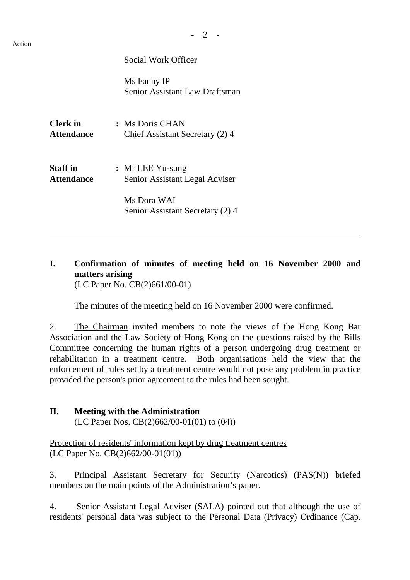Action

Social Work Officer

Ms Fanny IP Senior Assistant Law Draftsman

| <b>Clerk</b> in   | : Ms Doris CHAN                                 |
|-------------------|-------------------------------------------------|
| <b>Attendance</b> | Chief Assistant Secretary (2) 4                 |
| <b>Staff in</b>   | : Mr LEE Yu-sung                                |
| Attendance        | Senior Assistant Legal Adviser                  |
|                   | Ms Dora WAI<br>Senior Assistant Secretary (2) 4 |

# **I. Confirmation of minutes of meeting held on 16 November 2000 and matters arising**

(LC Paper No. CB(2)661/00-01)

The minutes of the meeting held on 16 November 2000 were confirmed.

2. The Chairman invited members to note the views of the Hong Kong Bar Association and the Law Society of Hong Kong on the questions raised by the Bills Committee concerning the human rights of a person undergoing drug treatment or rehabilitation in a treatment centre. Both organisations held the view that the enforcement of rules set by a treatment centre would not pose any problem in practice provided the person's prior agreement to the rules had been sought.

# **II. Meeting with the Administration**

(LC Paper Nos. CB(2)662/00-01(01) to (04))

Protection of residents' information kept by drug treatment centres (LC Paper No. CB(2)662/00-01(01))

3. Principal Assistant Secretary for Security (Narcotics) (PAS(N)) briefed members on the main points of the Administration's paper.

4. Senior Assistant Legal Adviser (SALA) pointed out that although the use of residents' personal data was subject to the Personal Data (Privacy) Ordinance (Cap.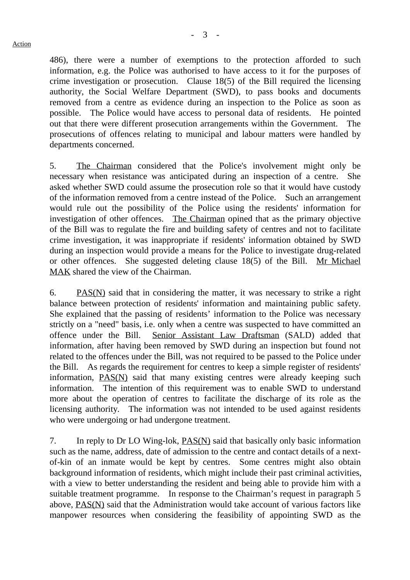486), there were a number of exemptions to the protection afforded to such information, e.g. the Police was authorised to have access to it for the purposes of crime investigation or prosecution. Clause 18(5) of the Bill required the licensing authority, the Social Welfare Department (SWD), to pass books and documents removed from a centre as evidence during an inspection to the Police as soon as possible. The Police would have access to personal data of residents. He pointed out that there were different prosecution arrangements within the Government. The prosecutions of offences relating to municipal and labour matters were handled by departments concerned.

5. The Chairman considered that the Police's involvement might only be necessary when resistance was anticipated during an inspection of a centre. She asked whether SWD could assume the prosecution role so that it would have custody of the information removed from a centre instead of the Police. Such an arrangement would rule out the possibility of the Police using the residents' information for investigation of other offences. The Chairman opined that as the primary objective of the Bill was to regulate the fire and building safety of centres and not to facilitate crime investigation, it was inappropriate if residents' information obtained by SWD during an inspection would provide a means for the Police to investigate drug-related or other offences. She suggested deleting clause 18(5) of the Bill. Mr Michael MAK shared the view of the Chairman.

6. PAS(N) said that in considering the matter, it was necessary to strike a right balance between protection of residents' information and maintaining public safety. She explained that the passing of residents' information to the Police was necessary strictly on a "need" basis, i.e. only when a centre was suspected to have committed an offence under the Bill. Senior Assistant Law Draftsman (SALD) added that information, after having been removed by SWD during an inspection but found not related to the offences under the Bill, was not required to be passed to the Police under the Bill. As regards the requirement for centres to keep a simple register of residents' information, PAS(N) said that many existing centres were already keeping such information. The intention of this requirement was to enable SWD to understand more about the operation of centres to facilitate the discharge of its role as the licensing authority. The information was not intended to be used against residents who were undergoing or had undergone treatment.

7. In reply to Dr LO Wing-lok, PAS(N) said that basically only basic information such as the name, address, date of admission to the centre and contact details of a nextof-kin of an inmate would be kept by centres. Some centres might also obtain background information of residents, which might include their past criminal activities, with a view to better understanding the resident and being able to provide him with a suitable treatment programme. In response to the Chairman's request in paragraph 5 above, PAS(N) said that the Administration would take account of various factors like manpower resources when considering the feasibility of appointing SWD as the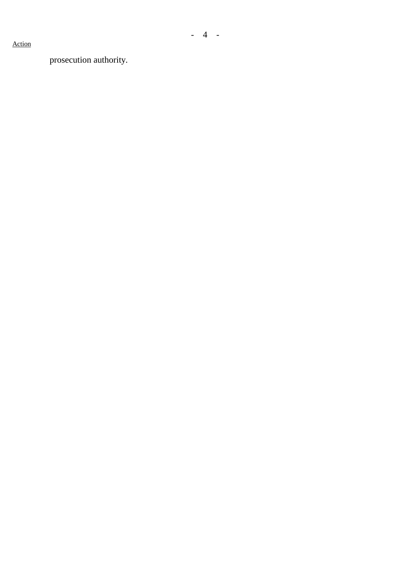#### Action

prosecution authority.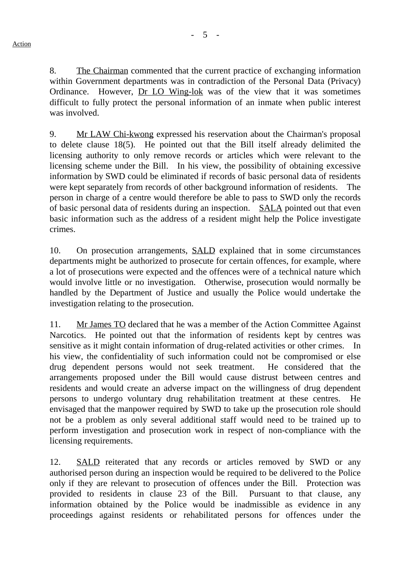8. The Chairman commented that the current practice of exchanging information within Government departments was in contradiction of the Personal Data (Privacy) Ordinance. However, Dr LO Wing-lok was of the view that it was sometimes difficult to fully protect the personal information of an inmate when public interest was involved.

9. Mr LAW Chi-kwong expressed his reservation about the Chairman's proposal to delete clause 18(5). He pointed out that the Bill itself already delimited the licensing authority to only remove records or articles which were relevant to the licensing scheme under the Bill. In his view, the possibility of obtaining excessive information by SWD could be eliminated if records of basic personal data of residents were kept separately from records of other background information of residents. The person in charge of a centre would therefore be able to pass to SWD only the records of basic personal data of residents during an inspection. SALA pointed out that even basic information such as the address of a resident might help the Police investigate crimes.

10. On prosecution arrangements, SALD explained that in some circumstances departments might be authorized to prosecute for certain offences, for example, where a lot of prosecutions were expected and the offences were of a technical nature which would involve little or no investigation. Otherwise, prosecution would normally be handled by the Department of Justice and usually the Police would undertake the investigation relating to the prosecution.

11. Mr James TO declared that he was a member of the Action Committee Against Narcotics. He pointed out that the information of residents kept by centres was sensitive as it might contain information of drug-related activities or other crimes. In his view, the confidentiality of such information could not be compromised or else drug dependent persons would not seek treatment. He considered that the arrangements proposed under the Bill would cause distrust between centres and residents and would create an adverse impact on the willingness of drug dependent persons to undergo voluntary drug rehabilitation treatment at these centres. He envisaged that the manpower required by SWD to take up the prosecution role should not be a problem as only several additional staff would need to be trained up to perform investigation and prosecution work in respect of non-compliance with the licensing requirements.

12. SALD reiterated that any records or articles removed by SWD or any authorised person during an inspection would be required to be delivered to the Police only if they are relevant to prosecution of offences under the Bill. Protection was provided to residents in clause 23 of the Bill. Pursuant to that clause, any information obtained by the Police would be inadmissible as evidence in any proceedings against residents or rehabilitated persons for offences under the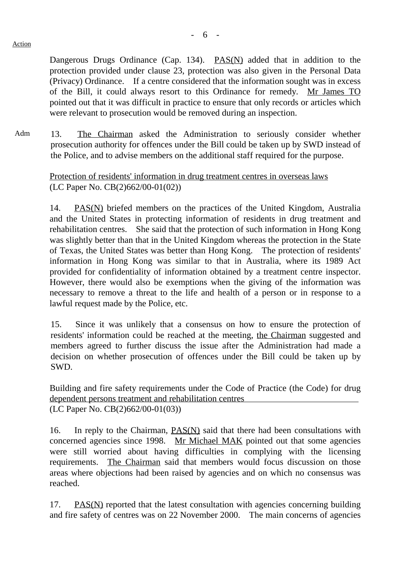Dangerous Drugs Ordinance (Cap. 134). PAS(N) added that in addition to the protection provided under clause 23, protection was also given in the Personal Data (Privacy) Ordinance. If a centre considered that the information sought was in excess of the Bill, it could always resort to this Ordinance for remedy. Mr James TO pointed out that it was difficult in practice to ensure that only records or articles which were relevant to prosecution would be removed during an inspection.

Adm 13. The Chairman asked the Administration to seriously consider whether prosecution authority for offences under the Bill could be taken up by SWD instead of the Police, and to advise members on the additional staff required for the purpose.

Protection of residents' information in drug treatment centres in overseas laws (LC Paper No. CB(2)662/00-01(02))

14. PAS(N) briefed members on the practices of the United Kingdom, Australia and the United States in protecting information of residents in drug treatment and rehabilitation centres. She said that the protection of such information in Hong Kong was slightly better than that in the United Kingdom whereas the protection in the State of Texas, the United States was better than Hong Kong. The protection of residents' information in Hong Kong was similar to that in Australia, where its 1989 Act provided for confidentiality of information obtained by a treatment centre inspector. However, there would also be exemptions when the giving of the information was necessary to remove a threat to the life and health of a person or in response to a lawful request made by the Police, etc.

15. Since it was unlikely that a consensus on how to ensure the protection of residents' information could be reached at the meeting, the Chairman suggested and members agreed to further discuss the issue after the Administration had made a decision on whether prosecution of offences under the Bill could be taken up by SWD.

Building and fire safety requirements under the Code of Practice (the Code) for drug dependent persons treatment and rehabilitation centres (LC Paper No. CB(2)662/00-01(03))

16. In reply to the Chairman, PAS(N) said that there had been consultations with concerned agencies since 1998. Mr Michael MAK pointed out that some agencies were still worried about having difficulties in complying with the licensing requirements. The Chairman said that members would focus discussion on those areas where objections had been raised by agencies and on which no consensus was reached.

17. PAS(N) reported that the latest consultation with agencies concerning building and fire safety of centres was on 22 November 2000. The main concerns of agencies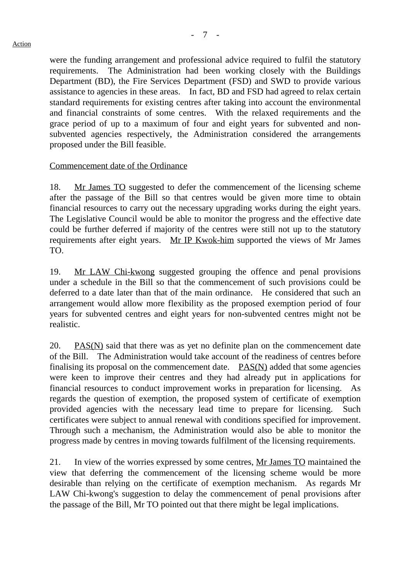were the funding arrangement and professional advice required to fulfil the statutory requirements. The Administration had been working closely with the Buildings Department (BD), the Fire Services Department (FSD) and SWD to provide various assistance to agencies in these areas. In fact, BD and FSD had agreed to relax certain standard requirements for existing centres after taking into account the environmental and financial constraints of some centres. With the relaxed requirements and the grace period of up to a maximum of four and eight years for subvented and nonsubvented agencies respectively, the Administration considered the arrangements proposed under the Bill feasible.

#### Commencement date of the Ordinance

18. Mr James TO suggested to defer the commencement of the licensing scheme after the passage of the Bill so that centres would be given more time to obtain financial resources to carry out the necessary upgrading works during the eight years. The Legislative Council would be able to monitor the progress and the effective date could be further deferred if majority of the centres were still not up to the statutory requirements after eight years. Mr IP Kwok-him supported the views of Mr James TO.

19. Mr LAW Chi-kwong suggested grouping the offence and penal provisions under a schedule in the Bill so that the commencement of such provisions could be deferred to a date later than that of the main ordinance. He considered that such an arrangement would allow more flexibility as the proposed exemption period of four years for subvented centres and eight years for non-subvented centres might not be realistic.

20. PAS(N) said that there was as yet no definite plan on the commencement date of the Bill. The Administration would take account of the readiness of centres before finalising its proposal on the commencement date.  $PAS(N)$  added that some agencies were keen to improve their centres and they had already put in applications for financial resources to conduct improvement works in preparation for licensing. As regards the question of exemption, the proposed system of certificate of exemption provided agencies with the necessary lead time to prepare for licensing. Such certificates were subject to annual renewal with conditions specified for improvement. Through such a mechanism, the Administration would also be able to monitor the progress made by centres in moving towards fulfilment of the licensing requirements.

21. In view of the worries expressed by some centres, Mr James TO maintained the view that deferring the commencement of the licensing scheme would be more desirable than relying on the certificate of exemption mechanism. As regards Mr LAW Chi-kwong's suggestion to delay the commencement of penal provisions after the passage of the Bill, Mr TO pointed out that there might be legal implications.